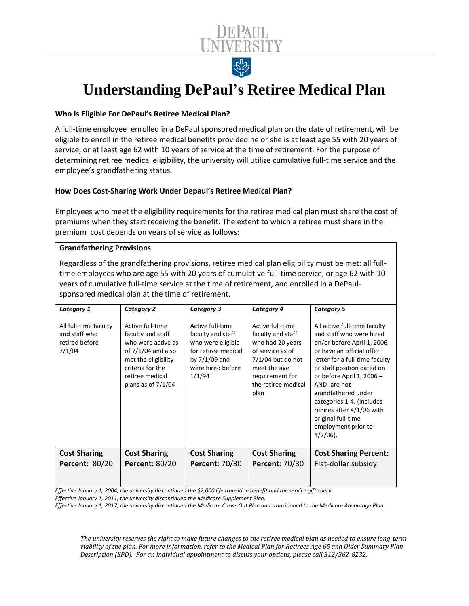

# **Understanding DePaul's Retiree Medical Plan**

### **Who Is Eligible For DePaul's Retiree Medical Plan?**

A full-time employee enrolled in a DePaul sponsored medical plan on the date of retirement, will be eligible to enroll in the retiree medical benefits provided he or she is at least age 55 with 20 years of service, or at least age 62 with 10 years of service at the time of retirement. For the purpose of determining retiree medical eligibility, the university will utilize cumulative full-time service and the employee's grandfathering status.

## **How Does Cost-Sharing Work Under Depaul's Retiree Medical Plan?**

Employees who meet the eligibility requirements for the retiree medical plan must share the cost of premiums when they start receiving the benefit. The extent to which a retiree must share in the premium cost depends on years of service as follows:

#### **Grandfathering Provisions**

Regardless of the grandfathering provisions, retiree medical plan eligibility must be met: all fulltime employees who are age 55 with 20 years of cumulative full-time service, or age 62 with 10 years of cumulative full-time service at the time of retirement, and enrolled in a DePaulsponsored medical plan at the time of retirement.

| Category 1                                                         | <b>Category 2</b>                                                                                                                                                         | Category 3                                                                                                                          | Category 4                                                                                                                                                             | <b>Category 5</b>                                                                                                                                                                                                                                                                                                                                                             |
|--------------------------------------------------------------------|---------------------------------------------------------------------------------------------------------------------------------------------------------------------------|-------------------------------------------------------------------------------------------------------------------------------------|------------------------------------------------------------------------------------------------------------------------------------------------------------------------|-------------------------------------------------------------------------------------------------------------------------------------------------------------------------------------------------------------------------------------------------------------------------------------------------------------------------------------------------------------------------------|
| All full-time faculty<br>and staff who<br>retired before<br>7/1/04 | Active full-time<br>faculty and staff<br>who were active as<br>of $7/1/04$ and also<br>met the eligibility<br>criteria for the<br>retiree medical<br>plans as of $7/1/04$ | Active full-time<br>faculty and staff<br>who were eligible<br>for retiree medical<br>by $7/1/09$ and<br>were hired before<br>1/1/94 | Active full-time<br>faculty and staff<br>who had 20 years<br>of service as of<br>$7/1/04$ but do not<br>meet the age<br>requirement for<br>the retiree medical<br>plan | All active full-time faculty<br>and staff who were hired<br>on/or before April 1, 2006<br>or have an official offer<br>letter for a full-time faculty<br>or staff position dated on<br>or before April 1, 2006 -<br>AND- are not<br>grandfathered under<br>categories 1-4. (Includes<br>rehires after 4/1/06 with<br>original full-time<br>employment prior to<br>$4/2/06$ ). |
| <b>Cost Sharing</b>                                                | <b>Cost Sharing</b>                                                                                                                                                       | <b>Cost Sharing</b>                                                                                                                 | <b>Cost Sharing</b>                                                                                                                                                    | <b>Cost Sharing Percent:</b>                                                                                                                                                                                                                                                                                                                                                  |
| <b>Percent: 80/20</b>                                              | <b>Percent: 80/20</b>                                                                                                                                                     | <b>Percent: 70/30</b>                                                                                                               | <b>Percent: 70/30</b>                                                                                                                                                  | Flat-dollar subsidy                                                                                                                                                                                                                                                                                                                                                           |

*Effective January 1, 2004, the university discontinued the \$2,000 life transition benefit and the service gift check.*

*Effective January 1, 2011, the university discontinued the Medicare Supplement Plan.*

*Effective January 1, 2017, the university discontinued the Medicare Carve-Out Plan and transitioned to the Medicare Advantage Plan.*

*The university reserves the right to make future changes to the retiree medical plan as needed to ensure long-term viability of the plan. For more information, refer to the Medical Plan for Retirees Age 65 and Older Summary Plan Description (SPD). For an individual appointment to discuss your options, please call 312/362-8232.*